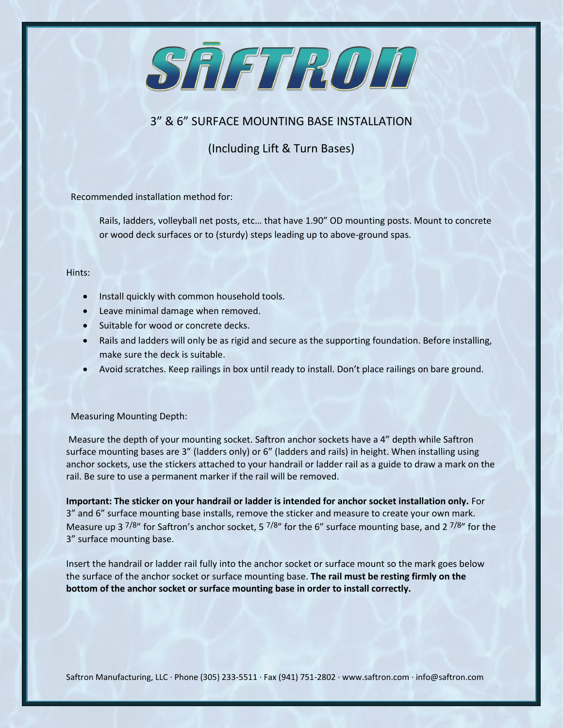

# 3" & 6" SURFACE MOUNTING BASE INSTALLATION

(Including Lift & Turn Bases)

Recommended installation method for:

Rails, ladders, volleyball net posts, etc… that have 1.90" OD mounting posts. Mount to concrete or wood deck surfaces or to (sturdy) steps leading up to above-ground spas.

## Hints:

- Install quickly with common household tools.
- Leave minimal damage when removed.
- Suitable for wood or concrete decks.
- Rails and ladders will only be as rigid and secure as the supporting foundation. Before installing, make sure the deck is suitable.
- Avoid scratches. Keep railings in box until ready to install. Don't place railings on bare ground.

## Measuring Mounting Depth:

Measure the depth of your mounting socket. Saftron anchor sockets have a 4" depth while Saftron surface mounting bases are 3" (ladders only) or 6" (ladders and rails) in height. When installing using anchor sockets, use the stickers attached to your handrail or ladder rail as a guide to draw a mark on the rail. Be sure to use a permanent marker if the rail will be removed.

**Important: The sticker on your handrail or ladder is intended for anchor socket installation only.** For 3" and 6" surface mounting base installs, remove the sticker and measure to create your own mark. Measure up 3  $7/8$ " for Saftron's anchor socket, 5  $7/8$ " for the 6" surface mounting base, and 2  $7/8$ " for the 3" surface mounting base.

Insert the handrail or ladder rail fully into the anchor socket or surface mount so the mark goes below the surface of the anchor socket or surface mounting base. **The rail must be resting firmly on the bottom of the anchor socket or surface mounting base in order to install correctly.**

Saftron Manufacturing, LLC · Phone (305) 233-5511 · Fax (941) 751-2802 · www.saftron.com · info@saftron.com